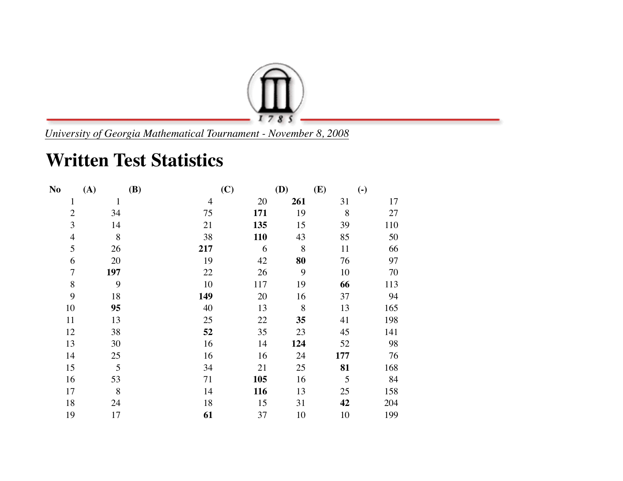

*University of Georgia Mathematical Tournament - November 8, 2008*

## **Written Test Statistics**

| N <sub>0</sub> | (A)          | <b>(B)</b> | (C)        | <b>(D)</b> | (E) | $\left( \text{-} \right)$ |
|----------------|--------------|------------|------------|------------|-----|---------------------------|
| $\mathbf{1}$   | $\mathbf{1}$ | 4          | 20         | 261        | 31  | 17                        |
| $\overline{2}$ | 34           | 75         | 171        | 19         | 8   | 27                        |
| 3              | 14           | 21         | 135        | 15         | 39  | 110                       |
| $\overline{4}$ | 8            | 38         | <b>110</b> | 43         | 85  | 50                        |
| 5              | 26           | 217        | 6          | 8          | 11  | 66                        |
| 6              | 20           | 19         | 42         | 80         | 76  | 97                        |
| $\overline{7}$ | 197          | 22         | 26         | 9          | 10  | 70                        |
| $\, 8$         | 9            | 10         | 117        | 19         | 66  | 113                       |
| 9              | 18           | 149        | 20         | 16         | 37  | 94                        |
| 10             | 95           | 40         | 13         | $8\,$      | 13  | 165                       |
| 11             | 13           | 25         | 22         | 35         | 41  | 198                       |
| 12             | 38           | 52         | 35         | 23         | 45  | 141                       |
| 13             | 30           | 16         | 14         | 124        | 52  | 98                        |
| 14             | 25           | 16         | 16         | 24         | 177 | 76                        |
| 15             | 5            | 34         | 21         | 25         | 81  | 168                       |
| 16             | 53           | 71         | 105        | 16         | 5   | 84                        |
| 17             | 8            | 14         | <b>116</b> | 13         | 25  | 158                       |
| 18             | 24           | 18         | 15         | 31         | 42  | 204                       |
| 19             | 17           | 61         | 37         | 10         | 10  | 199                       |